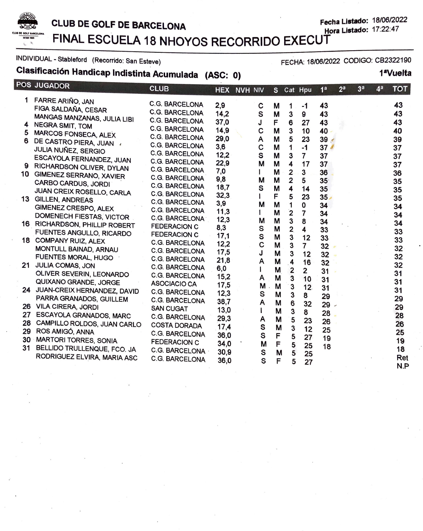

#### **CLUB DE GOLF DE BARCELONA Hora Listado:** 17:22:47

-- Fecha **Listado:** 18/06/2022 FINAL ESCUELA 18 NHOYOS RECORRIDO EXECUT

#### INDIVIDUAL - Stableford (Recorrido: San Esteve)

# **Clasificación Handicap Indistinta Acumulada (ASC: O)**

|    | POS JUGADOR                                      | <b>CLUB</b>                      |              | <b>HEX NVH NIV</b> |        | S.     |                         | Cat Hpu         | 1 <sup>a</sup>  | 2 <sup>a</sup> | 3 <sup>a</sup> | 4 <sup>a</sup> | <b>TOT</b> |
|----|--------------------------------------------------|----------------------------------|--------------|--------------------|--------|--------|-------------------------|-----------------|-----------------|----------------|----------------|----------------|------------|
|    | FARRE ARIÑO, JAN                                 | <b>C.G. BARCELONA</b>            | 2,9          |                    | С      | M      | 1                       | -1              | 43              |                |                |                | 43         |
|    | FIGA SALDAÑA, CESAR                              | C.G. BARCELONA                   | 14,2         |                    | S      | M      | 3                       | 9               | 43              |                |                |                | 43         |
|    | MANGAS MANZANAS, JULIA LIBI                      | <b>C.G. BARCELONA</b>            | 37,0         |                    | J      | F      | 6                       | 27              | 43              |                |                |                | 43         |
| 4  | <b>NEGRA SMIT, TOM</b>                           | C.G. BARCELONA                   | 14,9         |                    | C      | M      | 3                       | 10              | 40              |                |                |                | 40         |
| 5  | MARCOS FONSECA, ALEX                             | <b>C.G. BARCELONA</b>            | 29,0         |                    | Α      | M      | 5                       | 23              | $39 \angle$     |                |                |                | 39         |
|    | 6 DE CASTRO PIERA, JUAN /                        | C.G. BARCELONA                   | 3,6          |                    | C      | M      | $\mathbf{1}$            | $-1$            | 37 <sup>4</sup> |                |                |                | 37         |
|    | JULIA NUÑEZ, SERGIO                              | C.G. BARCELONA                   | 12,2         |                    | S      | M      | 3                       | $\overline{7}$  | 37              |                |                |                | 37         |
|    | ESCAYOLA FERNANDEZ, JUAN                         | C.G. BARCELONA                   | 22,9         |                    | M      | M      | 4                       | 17              | 37              |                |                |                | 37         |
|    | 9 RICHARDSON OLIVER, DYLAN                       | C.G. BARCELONA                   | 7,0          |                    | L      | М      | $\overline{\mathbf{c}}$ | 3               | 36              |                |                |                | 36         |
|    | 10 GIMENEZ SERRANO, XAVIER                       | <b>C.G. BARCELONA</b>            | 9,8          |                    | M      | M      | 2                       | 5               | 35 <sup>5</sup> |                |                |                | 35         |
|    | CARBO CARDUS, JORDI                              | C.G. BARCELONA                   | 18,7         |                    | S      | M      | 4                       | 14              | 35              |                |                |                | 35         |
|    | JUAN CREIX ROSELLO, CARLA                        | <b>C.G. BARCELONA</b>            | 32,3         |                    |        | F      | 5                       | 23              | 35 <sub>2</sub> |                |                |                | 35         |
|    | 13 GILLEN, ANDREAS                               | C.G. BARCELONA                   | 3,9          |                    | M      | M      | 1                       | 0               | 34              |                |                |                | 34         |
|    | GIMENEZ CRESPO, ALEX<br>DOMENECH FIESTAS, VICTOR | C.G. BARCELONA                   | 11,3         |                    |        | M      | $\mathbf{2}$            | 7               | 34              |                |                |                | 34         |
|    | 16 RICHARDSON, PHILLIP ROBERT                    | C.G. BARCELONA                   | 12,3         |                    | M      | M      | 3                       | 8               | 34              |                |                |                | 34         |
|    | FUENTES ANGULLO, RICARDO                         | <b>FEDERACION C</b>              | 8,3          |                    | S      | M      | $\overline{2}$          | 4               | 33              |                |                |                | 33         |
|    | 18 COMPANY RUIZ, ALEX                            | <b>FEDERACION C</b>              | 17,1         |                    | S      | M      | 3                       | 12              | 33              |                |                |                | 33         |
|    | MONTULL BAINAD, ARNAU                            | C.G. BARCELONA                   | 12,2         |                    | C      | M      | 3                       | $\overline{7}$  | 32              |                |                |                | 32         |
|    | FUENTES MORAL, HUGO                              | C.G. BARCELONA                   | 17,5         |                    | J      | M      | 3                       | 12              | 32              |                |                |                | 32         |
| 21 | <b>JULIA COMAS, JON</b>                          | C.G. BARCELONA                   | 21,8         |                    | A      | M      | 4                       | 16              | 32              |                |                |                | 32         |
|    | OLIVER SEVERIN, LEONARDO                         | C.G. BARCELONA<br>C.G. BARCELONA | 6,0          |                    |        | M      | $\overline{\mathbf{c}}$ | $\mathbf{2}$    | 31              |                |                |                | 31         |
|    | QUIXANO GRANDE, JORGE                            | ASOCIACIO CA                     | 15,2         |                    | A      | M      | 3                       | 10              | 31              |                |                |                | 31         |
|    | 24 JUAN-CREIX HERNANDEZ, DAVID                   | <b>C.G. BARCELONA</b>            | 17,5         |                    | M      | M      | 3                       | 12 <sub>2</sub> | 31              |                |                |                | 31         |
|    | PARRA GRANADOS, GUILLEM                          | C.G. BARCELONA                   | 12,3         |                    | S      | M      | 3                       | 8               | 29              |                |                |                | 29         |
| 26 | <b>VILA CIRERA, JORDI</b>                        | <b>SAN CUGAT</b>                 | 38,7         |                    | A      | M      | 6                       | 32              | $29 -$          |                |                |                | 29         |
| 27 | ESCAYOLA GRANADOS, MARC                          | C.G. BARCELONA                   | 13,0         |                    | I.     | M      | 3                       | 8               | 28              |                |                |                | 28         |
| 28 | CAMPILLO ROLDOS, JUAN CARLO                      | <b>COSTA DORADA</b>              | 29,3         |                    | A      | M      | 5                       | 23              | 26              |                |                |                | 26         |
| 29 | ROS AMIGÓ, ANNA                                  | C.G. BARCELONA                   | 17,4         |                    | S      | M      | 3                       | 12              | 25              |                |                |                | 25         |
|    | 30 MARTORI TORRES, SONIA                         | <b>FEDERACION C</b>              | 36,0         |                    | S      | F      | 5                       | 27              | 19              |                |                |                | 19         |
| 31 | BELLIDO TRULLENQUE, FCO. JA                      | C.G. BARCELONA -                 | 34,0<br>30,9 |                    | M      | F      | 5                       | 25              | 18              |                |                |                | 18         |
|    | RODRIGUEZ ELVIRA, MARIA ASC                      | C.G. BARCELONA                   | 36,0         |                    | S<br>S | M<br>F | 5                       | 25              |                 |                |                |                | Ret        |
|    |                                                  |                                  |              |                    |        |        | 5                       | 27              |                 |                |                |                | N.P        |

1ªVuelta

FECHA: 18/06/2022 CODIGO: CB2322190